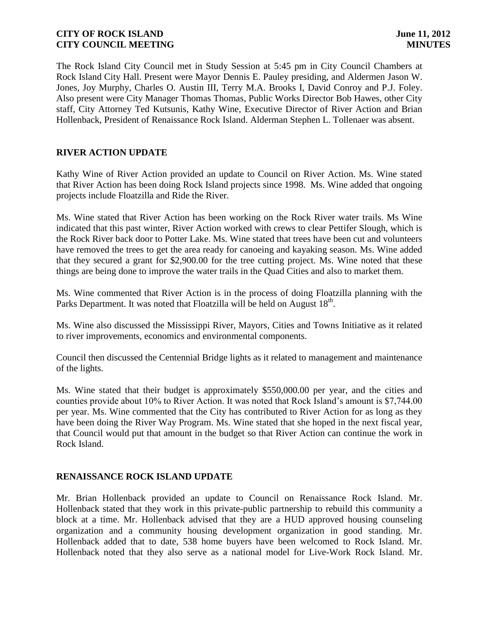The Rock Island City Council met in Study Session at 5:45 pm in City Council Chambers at Rock Island City Hall. Present were Mayor Dennis E. Pauley presiding, and Aldermen Jason W. Jones, Joy Murphy, Charles O. Austin III, Terry M.A. Brooks I, David Conroy and P.J. Foley. Also present were City Manager Thomas Thomas, Public Works Director Bob Hawes, other City staff, City Attorney Ted Kutsunis, Kathy Wine, Executive Director of River Action and Brian Hollenback, President of Renaissance Rock Island. Alderman Stephen L. Tollenaer was absent.

# **RIVER ACTION UPDATE**

Kathy Wine of River Action provided an update to Council on River Action. Ms. Wine stated that River Action has been doing Rock Island projects since 1998. Ms. Wine added that ongoing projects include Floatzilla and Ride the River.

Ms. Wine stated that River Action has been working on the Rock River water trails. Ms Wine indicated that this past winter, River Action worked with crews to clear Pettifer Slough, which is the Rock River back door to Potter Lake. Ms. Wine stated that trees have been cut and volunteers have removed the trees to get the area ready for canoeing and kayaking season. Ms. Wine added that they secured a grant for \$2,900.00 for the tree cutting project. Ms. Wine noted that these things are being done to improve the water trails in the Quad Cities and also to market them.

Ms. Wine commented that River Action is in the process of doing Floatzilla planning with the Parks Department. It was noted that Floatzilla will be held on August 18<sup>th</sup>.

Ms. Wine also discussed the Mississippi River, Mayors, Cities and Towns Initiative as it related to river improvements, economics and environmental components.

Council then discussed the Centennial Bridge lights as it related to management and maintenance of the lights.

Ms. Wine stated that their budget is approximately \$550,000.00 per year, and the cities and counties provide about 10% to River Action. It was noted that Rock Island's amount is \$7,744.00 per year. Ms. Wine commented that the City has contributed to River Action for as long as they have been doing the River Way Program. Ms. Wine stated that she hoped in the next fiscal year, that Council would put that amount in the budget so that River Action can continue the work in Rock Island.

### **RENAISSANCE ROCK ISLAND UPDATE**

Mr. Brian Hollenback provided an update to Council on Renaissance Rock Island. Mr. Hollenback stated that they work in this private-public partnership to rebuild this community a block at a time. Mr. Hollenback advised that they are a HUD approved housing counseling organization and a community housing development organization in good standing. Mr. Hollenback added that to date, 538 home buyers have been welcomed to Rock Island. Mr. Hollenback noted that they also serve as a national model for Live-Work Rock Island. Mr.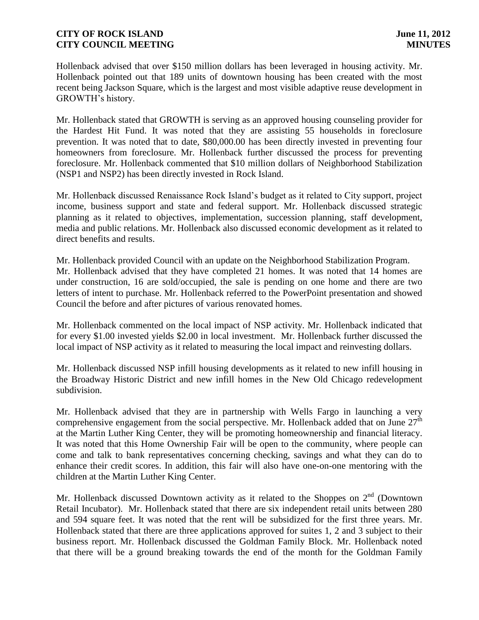Hollenback advised that over \$150 million dollars has been leveraged in housing activity. Mr. Hollenback pointed out that 189 units of downtown housing has been created with the most recent being Jackson Square, which is the largest and most visible adaptive reuse development in GROWTH's history.

Mr. Hollenback stated that GROWTH is serving as an approved housing counseling provider for the Hardest Hit Fund. It was noted that they are assisting 55 households in foreclosure prevention. It was noted that to date, \$80,000.00 has been directly invested in preventing four homeowners from foreclosure. Mr. Hollenback further discussed the process for preventing foreclosure. Mr. Hollenback commented that \$10 million dollars of Neighborhood Stabilization (NSP1 and NSP2) has been directly invested in Rock Island.

Mr. Hollenback discussed Renaissance Rock Island's budget as it related to City support, project income, business support and state and federal support. Mr. Hollenback discussed strategic planning as it related to objectives, implementation, succession planning, staff development, media and public relations. Mr. Hollenback also discussed economic development as it related to direct benefits and results.

Mr. Hollenback provided Council with an update on the Neighborhood Stabilization Program. Mr. Hollenback advised that they have completed 21 homes. It was noted that 14 homes are under construction, 16 are sold/occupied, the sale is pending on one home and there are two letters of intent to purchase. Mr. Hollenback referred to the PowerPoint presentation and showed Council the before and after pictures of various renovated homes.

Mr. Hollenback commented on the local impact of NSP activity. Mr. Hollenback indicated that for every \$1.00 invested yields \$2.00 in local investment. Mr. Hollenback further discussed the local impact of NSP activity as it related to measuring the local impact and reinvesting dollars.

Mr. Hollenback discussed NSP infill housing developments as it related to new infill housing in the Broadway Historic District and new infill homes in the New Old Chicago redevelopment subdivision.

Mr. Hollenback advised that they are in partnership with Wells Fargo in launching a very comprehensive engagement from the social perspective. Mr. Hollenback added that on June  $27<sup>th</sup>$ at the Martin Luther King Center, they will be promoting homeownership and financial literacy. It was noted that this Home Ownership Fair will be open to the community, where people can come and talk to bank representatives concerning checking, savings and what they can do to enhance their credit scores. In addition, this fair will also have one-on-one mentoring with the children at the Martin Luther King Center.

Mr. Hollenback discussed Downtown activity as it related to the Shoppes on  $2<sup>nd</sup>$  (Downtown Retail Incubator). Mr. Hollenback stated that there are six independent retail units between 280 and 594 square feet. It was noted that the rent will be subsidized for the first three years. Mr. Hollenback stated that there are three applications approved for suites 1, 2 and 3 subject to their business report. Mr. Hollenback discussed the Goldman Family Block. Mr. Hollenback noted that there will be a ground breaking towards the end of the month for the Goldman Family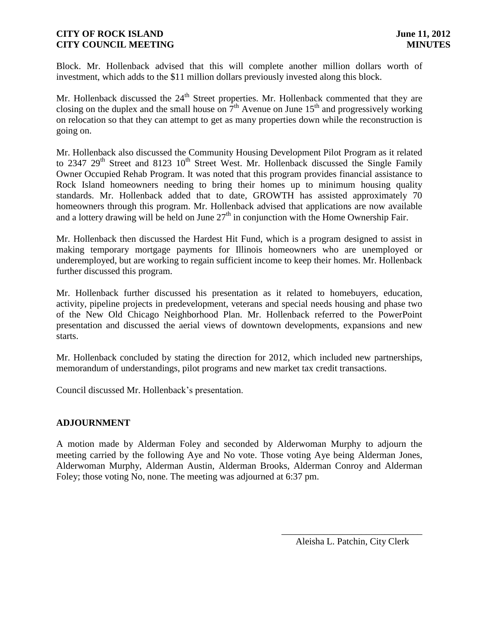Block. Mr. Hollenback advised that this will complete another million dollars worth of investment, which adds to the \$11 million dollars previously invested along this block.

Mr. Hollenback discussed the 24<sup>th</sup> Street properties. Mr. Hollenback commented that they are closing on the duplex and the small house on  $7<sup>th</sup>$  Avenue on June 15<sup>th</sup> and progressively working on relocation so that they can attempt to get as many properties down while the reconstruction is going on.

Mr. Hollenback also discussed the Community Housing Development Pilot Program as it related to 2347  $29<sup>th</sup>$  Street and 8123  $10<sup>th</sup>$  Street West. Mr. Hollenback discussed the Single Family Owner Occupied Rehab Program. It was noted that this program provides financial assistance to Rock Island homeowners needing to bring their homes up to minimum housing quality standards. Mr. Hollenback added that to date, GROWTH has assisted approximately 70 homeowners through this program. Mr. Hollenback advised that applications are now available and a lottery drawing will be held on June  $27<sup>th</sup>$  in conjunction with the Home Ownership Fair.

Mr. Hollenback then discussed the Hardest Hit Fund, which is a program designed to assist in making temporary mortgage payments for Illinois homeowners who are unemployed or underemployed, but are working to regain sufficient income to keep their homes. Mr. Hollenback further discussed this program.

Mr. Hollenback further discussed his presentation as it related to homebuyers, education, activity, pipeline projects in predevelopment, veterans and special needs housing and phase two of the New Old Chicago Neighborhood Plan. Mr. Hollenback referred to the PowerPoint presentation and discussed the aerial views of downtown developments, expansions and new starts.

Mr. Hollenback concluded by stating the direction for 2012, which included new partnerships, memorandum of understandings, pilot programs and new market tax credit transactions.

Council discussed Mr. Hollenback's presentation.

# **ADJOURNMENT**

A motion made by Alderman Foley and seconded by Alderwoman Murphy to adjourn the meeting carried by the following Aye and No vote. Those voting Aye being Alderman Jones, Alderwoman Murphy, Alderman Austin, Alderman Brooks, Alderman Conroy and Alderman Foley; those voting No, none. The meeting was adjourned at 6:37 pm.

\_\_\_\_\_\_\_\_\_\_\_\_\_\_\_\_\_\_\_\_\_\_\_\_\_\_\_\_\_\_ Aleisha L. Patchin, City Clerk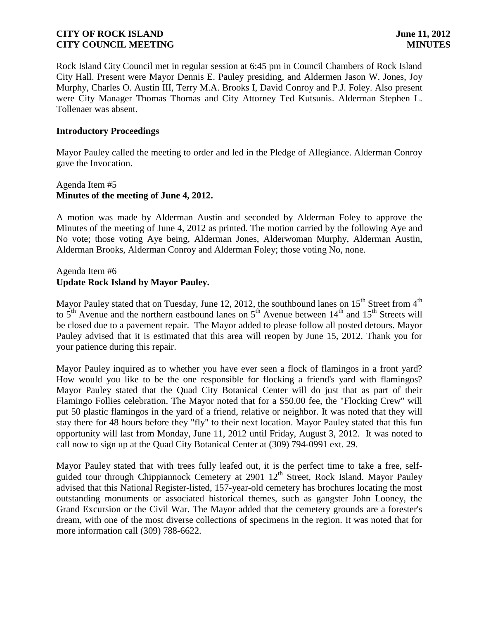Rock Island City Council met in regular session at 6:45 pm in Council Chambers of Rock Island City Hall. Present were Mayor Dennis E. Pauley presiding, and Aldermen Jason W. Jones, Joy Murphy, Charles O. Austin III, Terry M.A. Brooks I, David Conroy and P.J. Foley. Also present were City Manager Thomas Thomas and City Attorney Ted Kutsunis. Alderman Stephen L. Tollenaer was absent.

### **Introductory Proceedings**

Mayor Pauley called the meeting to order and led in the Pledge of Allegiance. Alderman Conroy gave the Invocation.

## Agenda Item #5 **Minutes of the meeting of June 4, 2012.**

A motion was made by Alderman Austin and seconded by Alderman Foley to approve the Minutes of the meeting of June 4, 2012 as printed. The motion carried by the following Aye and No vote; those voting Aye being, Alderman Jones, Alderwoman Murphy, Alderman Austin, Alderman Brooks, Alderman Conroy and Alderman Foley; those voting No, none.

### Agenda Item #6 **Update Rock Island by Mayor Pauley.**

Mayor Pauley stated that on Tuesday, June 12, 2012, the southbound lanes on  $15<sup>th</sup>$  Street from  $4<sup>th</sup>$ to  $5<sup>th</sup>$  Avenue and the northern eastbound lanes on  $5<sup>th</sup>$  Avenue between  $14<sup>th</sup>$  and  $15<sup>th</sup>$  Streets will be closed due to a pavement repair. The Mayor added to please follow all posted detours. Mayor Pauley advised that it is estimated that this area will reopen by June 15, 2012. Thank you for your patience during this repair.

Mayor Pauley inquired as to whether you have ever seen a flock of flamingos in a front yard? How would you like to be the one responsible for flocking a friend's yard with flamingos? Mayor Pauley stated that the Quad City Botanical Center will do just that as part of their Flamingo Follies celebration. The Mayor noted that for a \$50.00 fee, the "Flocking Crew" will put 50 plastic flamingos in the yard of a friend, relative or neighbor. It was noted that they will stay there for 48 hours before they "fly" to their next location. Mayor Pauley stated that this fun opportunity will last from Monday, June 11, 2012 until Friday, August 3, 2012. It was noted to call now to sign up at the Quad City Botanical Center at (309) 794-0991 ext. 29.

Mayor Pauley stated that with trees fully leafed out, it is the perfect time to take a free, selfguided tour through Chippiannock Cemetery at 2901 12<sup>th</sup> Street, Rock Island. Mayor Pauley advised that this National Register-listed, 157-year-old cemetery has brochures locating the most outstanding monuments or associated historical themes, such as gangster John Looney, the Grand Excursion or the Civil War. The Mayor added that the cemetery grounds are a forester's dream, with one of the most diverse collections of specimens in the region. It was noted that for more information call (309) 788-6622.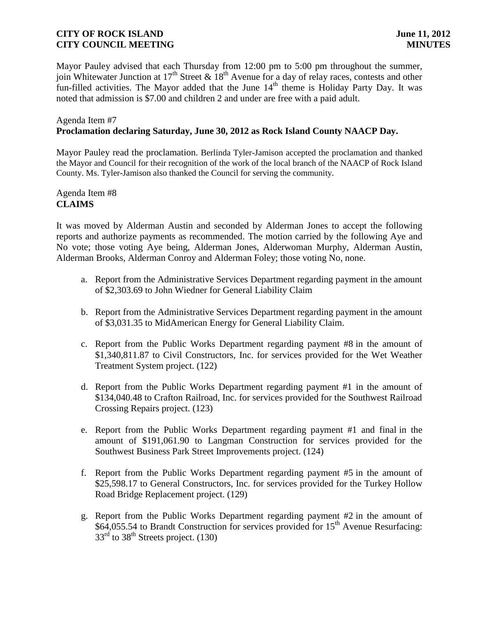Mayor Pauley advised that each Thursday from 12:00 pm to 5:00 pm throughout the summer, join Whitewater Junction at  $17<sup>th</sup>$  Street &  $18<sup>th</sup>$  Avenue for a day of relay races, contests and other fun-filled activities. The Mayor added that the June 14<sup>th</sup> theme is Holiday Party Day. It was noted that admission is \$7.00 and children 2 and under are free with a paid adult.

#### Agenda Item #7

### **Proclamation declaring Saturday, June 30, 2012 as Rock Island County NAACP Day.**

Mayor Pauley read the proclamation. Berlinda Tyler-Jamison accepted the proclamation and thanked the Mayor and Council for their recognition of the work of the local branch of the NAACP of Rock Island County. Ms. Tyler-Jamison also thanked the Council for serving the community.

Agenda Item #8 **CLAIMS**

It was moved by Alderman Austin and seconded by Alderman Jones to accept the following reports and authorize payments as recommended. The motion carried by the following Aye and No vote; those voting Aye being, Alderman Jones, Alderwoman Murphy, Alderman Austin, Alderman Brooks, Alderman Conroy and Alderman Foley; those voting No, none.

- a. Report from the Administrative Services Department regarding payment in the amount of \$2,303.69 to John Wiedner for General Liability Claim
- b. Report from the Administrative Services Department regarding payment in the amount of \$3,031.35 to MidAmerican Energy for General Liability Claim.
- c. Report from the Public Works Department regarding payment #8 in the amount of \$1,340,811.87 to Civil Constructors, Inc. for services provided for the Wet Weather Treatment System project. (122)
- d. Report from the Public Works Department regarding payment #1 in the amount of \$134,040.48 to Crafton Railroad, Inc. for services provided for the Southwest Railroad Crossing Repairs project. (123)
- e. Report from the Public Works Department regarding payment #1 and final in the amount of \$191,061.90 to Langman Construction for services provided for the Southwest Business Park Street Improvements project. (124)
- f. Report from the Public Works Department regarding payment #5 in the amount of \$25,598.17 to General Constructors, Inc. for services provided for the Turkey Hollow Road Bridge Replacement project. (129)
- g. Report from the Public Works Department regarding payment #2 in the amount of \$64,055.54 to Brandt Construction for services provided for 15<sup>th</sup> Avenue Resurfacing:  $33<sup>rd</sup>$  to  $38<sup>th</sup>$  Streets project. (130)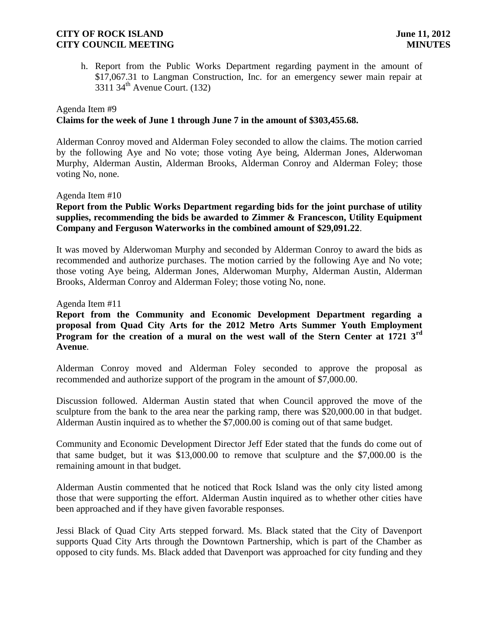h. Report from the Public Works Department regarding payment in the amount of \$17,067.31 to Langman Construction, Inc. for an emergency sewer main repair at 3311 34th Avenue Court. (132)

# Agenda Item #9 **Claims for the week of June 1 through June 7 in the amount of \$303,455.68.**

Alderman Conroy moved and Alderman Foley seconded to allow the claims. The motion carried by the following Aye and No vote; those voting Aye being, Alderman Jones, Alderwoman Murphy, Alderman Austin, Alderman Brooks, Alderman Conroy and Alderman Foley; those voting No, none.

### Agenda Item #10

## **Report from the Public Works Department regarding bids for the joint purchase of utility supplies, recommending the bids be awarded to Zimmer & Francescon, Utility Equipment Company and Ferguson Waterworks in the combined amount of \$29,091.22**.

It was moved by Alderwoman Murphy and seconded by Alderman Conroy to award the bids as recommended and authorize purchases. The motion carried by the following Aye and No vote; those voting Aye being, Alderman Jones, Alderwoman Murphy, Alderman Austin, Alderman Brooks, Alderman Conroy and Alderman Foley; those voting No, none.

Agenda Item #11

## **Report from the Community and Economic Development Department regarding a proposal from Quad City Arts for the 2012 Metro Arts Summer Youth Employment Program for the creation of a mural on the west wall of the Stern Center at 1721 3rd Avenue**.

Alderman Conroy moved and Alderman Foley seconded to approve the proposal as recommended and authorize support of the program in the amount of \$7,000.00.

Discussion followed. Alderman Austin stated that when Council approved the move of the sculpture from the bank to the area near the parking ramp, there was \$20,000.00 in that budget. Alderman Austin inquired as to whether the \$7,000.00 is coming out of that same budget.

Community and Economic Development Director Jeff Eder stated that the funds do come out of that same budget, but it was \$13,000.00 to remove that sculpture and the \$7,000.00 is the remaining amount in that budget.

Alderman Austin commented that he noticed that Rock Island was the only city listed among those that were supporting the effort. Alderman Austin inquired as to whether other cities have been approached and if they have given favorable responses.

Jessi Black of Quad City Arts stepped forward. Ms. Black stated that the City of Davenport supports Quad City Arts through the Downtown Partnership, which is part of the Chamber as opposed to city funds. Ms. Black added that Davenport was approached for city funding and they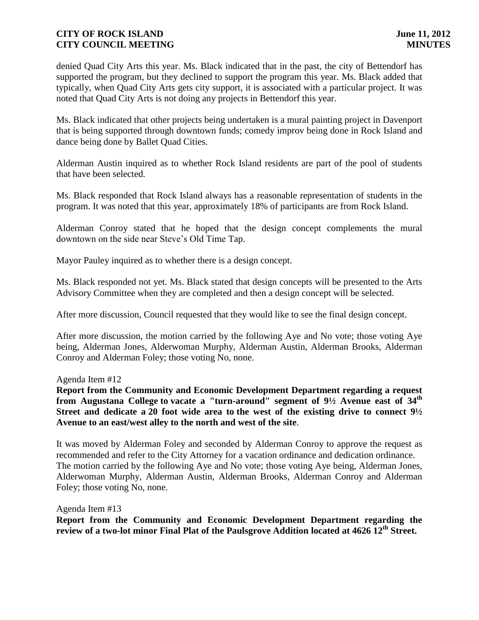denied Quad City Arts this year. Ms. Black indicated that in the past, the city of Bettendorf has supported the program, but they declined to support the program this year. Ms. Black added that typically, when Quad City Arts gets city support, it is associated with a particular project. It was noted that Quad City Arts is not doing any projects in Bettendorf this year.

Ms. Black indicated that other projects being undertaken is a mural painting project in Davenport that is being supported through downtown funds; comedy improv being done in Rock Island and dance being done by Ballet Quad Cities.

Alderman Austin inquired as to whether Rock Island residents are part of the pool of students that have been selected.

Ms. Black responded that Rock Island always has a reasonable representation of students in the program. It was noted that this year, approximately 18% of participants are from Rock Island.

Alderman Conroy stated that he hoped that the design concept complements the mural downtown on the side near Steve's Old Time Tap.

Mayor Pauley inquired as to whether there is a design concept.

Ms. Black responded not yet. Ms. Black stated that design concepts will be presented to the Arts Advisory Committee when they are completed and then a design concept will be selected.

After more discussion, Council requested that they would like to see the final design concept.

After more discussion, the motion carried by the following Aye and No vote; those voting Aye being, Alderman Jones, Alderwoman Murphy, Alderman Austin, Alderman Brooks, Alderman Conroy and Alderman Foley; those voting No, none.

Agenda Item #12

**Report from the Community and Economic Development Department regarding a request from Augustana College to vacate a "turn-around" segment of 9½ Avenue east of 34th Street and dedicate a 20 foot wide area to the west of the existing drive to connect 9½ Avenue to an east/west alley to the north and west of the site**.

It was moved by Alderman Foley and seconded by Alderman Conroy to approve the request as recommended and refer to the City Attorney for a vacation ordinance and dedication ordinance. The motion carried by the following Aye and No vote; those voting Aye being, Alderman Jones, Alderwoman Murphy, Alderman Austin, Alderman Brooks, Alderman Conroy and Alderman Foley; those voting No, none.

Agenda Item #13

**Report from the Community and Economic Development Department regarding the review of a two-lot minor Final Plat of the Paulsgrove Addition located at 4626 12th Street.**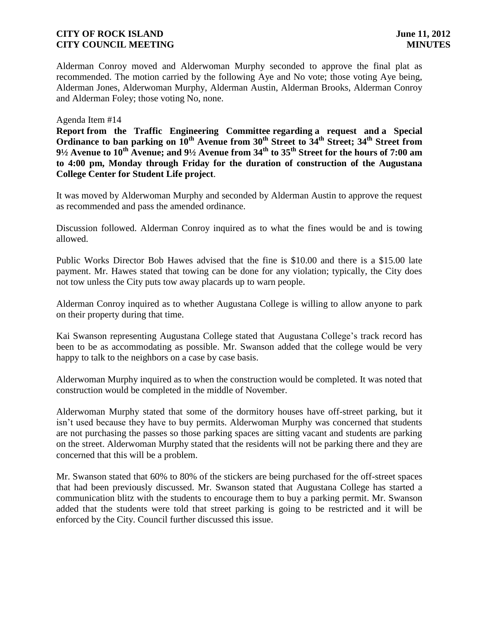Alderman Conroy moved and Alderwoman Murphy seconded to approve the final plat as recommended. The motion carried by the following Aye and No vote; those voting Aye being, Alderman Jones, Alderwoman Murphy, Alderman Austin, Alderman Brooks, Alderman Conroy and Alderman Foley; those voting No, none.

### Agenda Item #14

**Report from the Traffic Engineering Committee regarding a request and a Special Ordinance to ban parking on**  $10^{\text{th}}$  **Avenue from**  $30^{\text{th}}$  **Street to**  $34^{\text{th}}$  **Street;**  $34^{\text{th}}$  **Street from 9½ Avenue to 10th Avenue; and 9½ Avenue from 34th to 35th Street for the hours of 7:00 am to 4:00 pm, Monday through Friday for the duration of construction of the Augustana College Center for Student Life project**.

It was moved by Alderwoman Murphy and seconded by Alderman Austin to approve the request as recommended and pass the amended ordinance.

Discussion followed. Alderman Conroy inquired as to what the fines would be and is towing allowed.

Public Works Director Bob Hawes advised that the fine is \$10.00 and there is a \$15.00 late payment. Mr. Hawes stated that towing can be done for any violation; typically, the City does not tow unless the City puts tow away placards up to warn people.

Alderman Conroy inquired as to whether Augustana College is willing to allow anyone to park on their property during that time.

Kai Swanson representing Augustana College stated that Augustana College's track record has been to be as accommodating as possible. Mr. Swanson added that the college would be very happy to talk to the neighbors on a case by case basis.

Alderwoman Murphy inquired as to when the construction would be completed. It was noted that construction would be completed in the middle of November.

Alderwoman Murphy stated that some of the dormitory houses have off-street parking, but it isn't used because they have to buy permits. Alderwoman Murphy was concerned that students are not purchasing the passes so those parking spaces are sitting vacant and students are parking on the street. Alderwoman Murphy stated that the residents will not be parking there and they are concerned that this will be a problem.

Mr. Swanson stated that 60% to 80% of the stickers are being purchased for the off-street spaces that had been previously discussed. Mr. Swanson stated that Augustana College has started a communication blitz with the students to encourage them to buy a parking permit. Mr. Swanson added that the students were told that street parking is going to be restricted and it will be enforced by the City. Council further discussed this issue.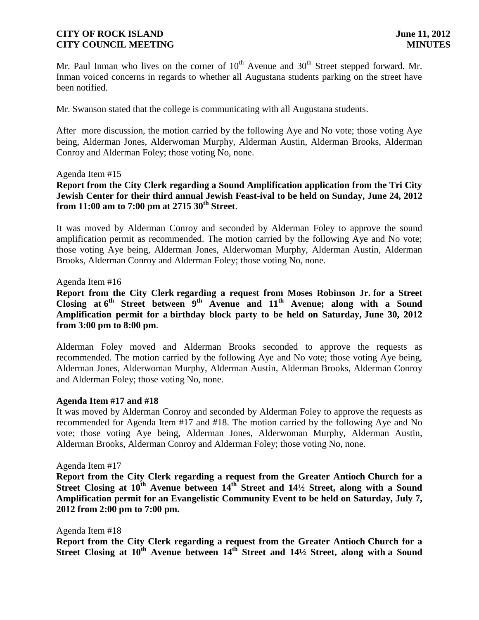Mr. Paul Inman who lives on the corner of  $10<sup>th</sup>$  Avenue and  $30<sup>th</sup>$  Street stepped forward. Mr. Inman voiced concerns in regards to whether all Augustana students parking on the street have been notified.

Mr. Swanson stated that the college is communicating with all Augustana students.

After more discussion, the motion carried by the following Aye and No vote; those voting Aye being, Alderman Jones, Alderwoman Murphy, Alderman Austin, Alderman Brooks, Alderman Conroy and Alderman Foley; those voting No, none.

#### Agenda Item #15

**Report from the City Clerk regarding a Sound Amplification application from the Tri City Jewish Center for their third annual Jewish Feast-ival to be held on Sunday, June 24, 2012 from 11:00 am to 7:00 pm at 2715 30th Street**.

It was moved by Alderman Conroy and seconded by Alderman Foley to approve the sound amplification permit as recommended. The motion carried by the following Aye and No vote; those voting Aye being, Alderman Jones, Alderwoman Murphy, Alderman Austin, Alderman Brooks, Alderman Conroy and Alderman Foley; those voting No, none.

#### Agenda Item #16

**Report from the City Clerk regarding a request from Moses Robinson Jr. for a Street Closing at 6 th Street between 9th Avenue and 11th Avenue; along with a Sound Amplification permit for a birthday block party to be held on Saturday, June 30, 2012 from 3:00 pm to 8:00 pm**.

Alderman Foley moved and Alderman Brooks seconded to approve the requests as recommended. The motion carried by the following Aye and No vote; those voting Aye being, Alderman Jones, Alderwoman Murphy, Alderman Austin, Alderman Brooks, Alderman Conroy and Alderman Foley; those voting No, none.

#### **Agenda Item #17 and #18**

It was moved by Alderman Conroy and seconded by Alderman Foley to approve the requests as recommended for Agenda Item #17 and #18. The motion carried by the following Aye and No vote; those voting Aye being, Alderman Jones, Alderwoman Murphy, Alderman Austin, Alderman Brooks, Alderman Conroy and Alderman Foley; those voting No, none.

#### Agenda Item #17

**Report from the City Clerk regarding a request from the Greater Antioch Church for a Street Closing at 10th Avenue between 14th Street and 14½ Street, along with a Sound Amplification permit for an Evangelistic Community Event to be held on Saturday, July 7, 2012 from 2:00 pm to 7:00 pm.**

#### Agenda Item #18

**Report from the City Clerk regarding a request from the Greater Antioch Church for a Street Closing at 10th Avenue between 14th Street and 14½ Street, along with a Sound**